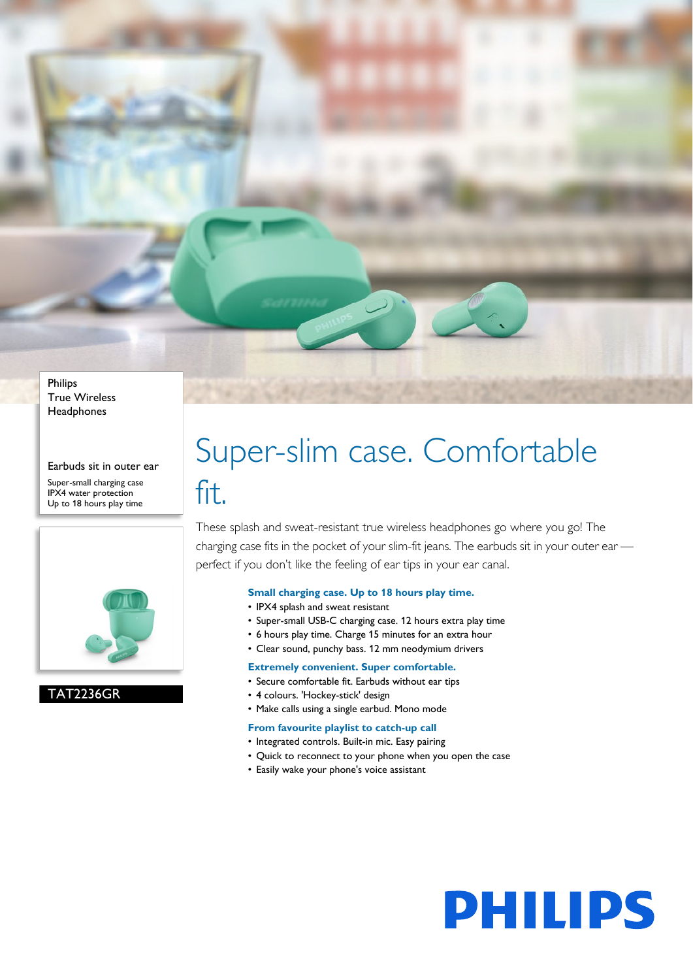Philips True Wireless **Headphones** 

Earbuds sit in outer ear

Super-small charging case IPX4 water protection Up to 18 hours play time



TAT2236GR

# Super-slim case. Comfortable fit.

These splash and sweat-resistant true wireless headphones go where you go! The charging case fits in the pocket of your slim-fit jeans. The earbuds sit in your outer ear perfect if you don't like the feeling of ear tips in your ear canal.

### **Small charging case. Up to 18 hours play time.**

- IPX4 splash and sweat resistant
- Super-small USB-C charging case. 12 hours extra play time
- 6 hours play time. Charge 15 minutes for an extra hour
- Clear sound, punchy bass. 12 mm neodymium drivers

#### **Extremely convenient. Super comfortable.**

- Secure comfortable fit. Earbuds without ear tips
- 4 colours. 'Hockey-stick' design
- Make calls using a single earbud. Mono mode

#### **From favourite playlist to catch-up call**

- Integrated controls. Built-in mic. Easy pairing
- Quick to reconnect to your phone when you open the case

**PHILIPS** 

• Easily wake your phone's voice assistant